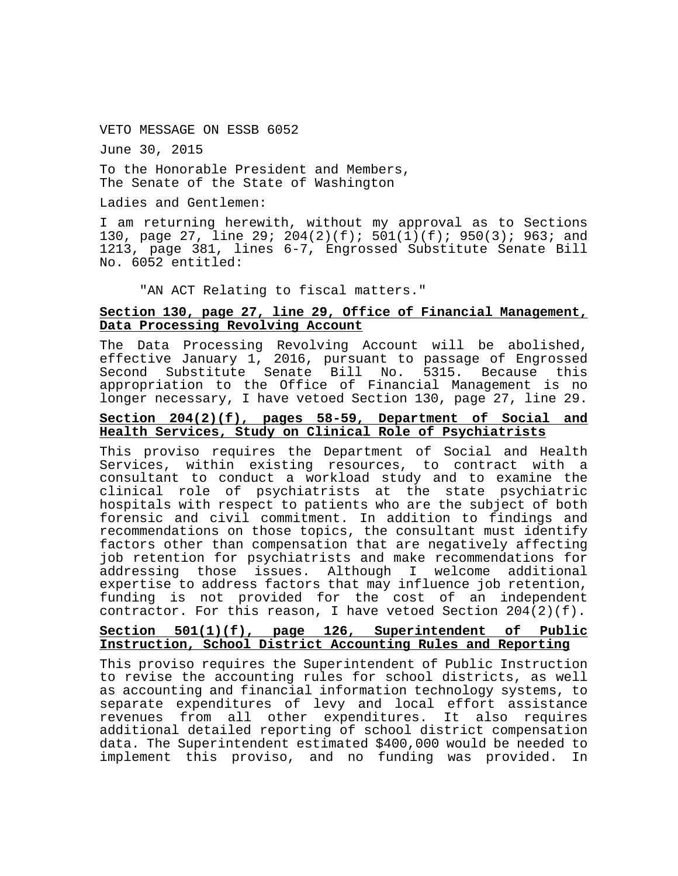VETO MESSAGE ON ESSB 6052

June 30, 2015

To the Honorable President and Members, The Senate of the State of Washington

Ladies and Gentlemen:

I am returning herewith, without my approval as to Sections 130, page 27, line 29; 204(2)(f); 501(1)(f); 950(3); 963; and 1213, page 381, lines 6-7, Engrossed Substitute Senate Bill No. 6052 entitled:

"AN ACT Relating to fiscal matters."

# **Section 130, page 27, line 29, Office of Financial Management, Data Processing Revolving Account**

The Data Processing Revolving Account will be abolished, effective January 1, 2016, pursuant to passage of Engrossed Second Substitute Senate Bill No. 5315. Because this appropriation to the Office of Financial Management is no longer necessary, I have vetoed Section 130, page 27, line 29.

### **Section 204(2)(f), pages 58-59, Department of Social and Health Services, Study on Clinical Role of Psychiatrists**

This proviso requires the Department of Social and Health Services, within existing resources, to contract with a consultant to conduct a workload study and to examine the clinical role of psychiatrists at the state psychiatric hospitals with respect to patients who are the subject of both forensic and civil commitment. In addition to findings and recommendations on those topics, the consultant must identify factors other than compensation that are negatively affecting job retention for psychiatrists and make recommendations for issues. Although I welcome additional expertise to address factors that may influence job retention, funding is not provided for the cost of an independent contractor. For this reason, I have vetoed Section  $204(2)(f)$ .

### **Section 501(1)(f), page 126, Superintendent of Public Instruction, School District Accounting Rules and Reporting**

This proviso requires the Superintendent of Public Instruction to revise the accounting rules for school districts, as well as accounting and financial information technology systems, to separate expenditures of levy and local effort assistance revenues from all other expenditures. It also requires additional detailed reporting of school district compensation data. The Superintendent estimated \$400,000 would be needed to implement this proviso, and no funding was provided. In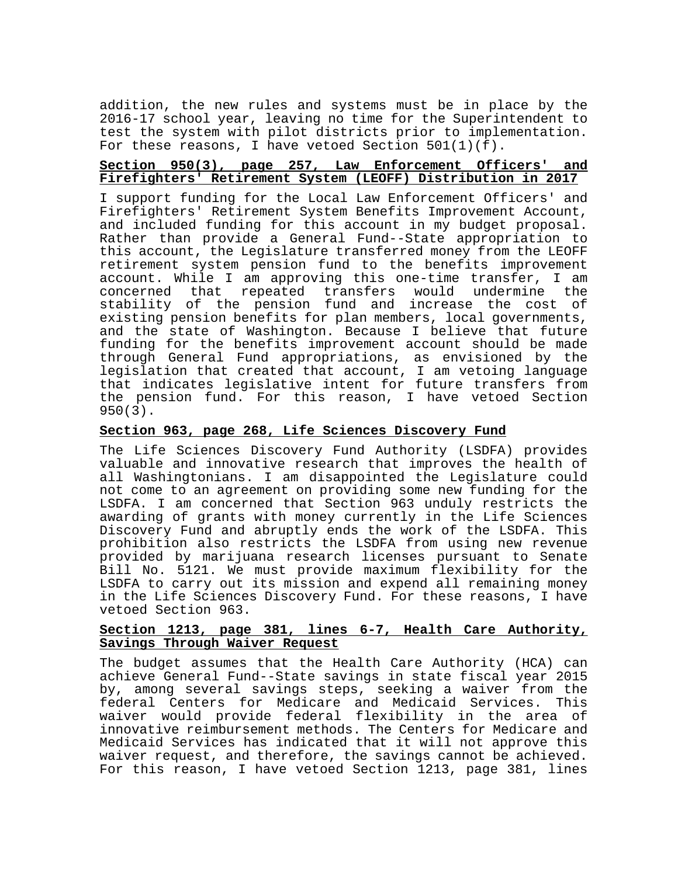addition, the new rules and systems must be in place by the 2016-17 school year, leaving no time for the Superintendent to test the system with pilot districts prior to implementation. For these reasons, I have vetoed Section  $501(1)(f)$ .

# **Section 950(3), page 257, Law Enforcement Officers' and Firefighters' Retirement System (LEOFF) Distribution in 2017**

I support funding for the Local Law Enforcement Officers' and Firefighters' Retirement System Benefits Improvement Account, and included funding for this account in my budget proposal. Rather than provide a General Fund--State appropriation to this account, the Legislature transferred money from the LEOFF retirement system pension fund to the benefits improvement account. While I am approving this one-time transfer, I am concerned that repeated transfers would undermine the stability of the pension fund and increase the cost of existing pension benefits for plan members, local governments, and the state of Washington. Because I believe that future funding for the benefits improvement account should be made through General Fund appropriations, as envisioned by the legislation that created that account, I am vetoing language that indicates legislative intent for future transfers from the pension fund. For this reason, I have vetoed Section 950(3).

### **Section 963, page 268, Life Sciences Discovery Fund**

The Life Sciences Discovery Fund Authority (LSDFA) provides valuable and innovative research that improves the health of all Washingtonians. I am disappointed the Legislature could not come to an agreement on providing some new funding for the LSDFA. I am concerned that Section 963 unduly restricts the awarding of grants with money currently in the Life Sciences Discovery Fund and abruptly ends the work of the LSDFA. This prohibition also restricts the LSDFA from using new revenue provided by marijuana research licenses pursuant to Senate Bill No. 5121. We must provide maximum flexibility for the LSDFA to carry out its mission and expend all remaining money in the Life Sciences Discovery Fund. For these reasons, I have vetoed Section 963.

### **Section 1213, page 381, lines 6-7, Health Care Authority, Savings Through Waiver Request**

The budget assumes that the Health Care Authority (HCA) can achieve General Fund--State savings in state fiscal year 2015 by, among several savings steps, seeking a waiver from the federal Centers for Medicare and Medicaid Services. This waiver would provide federal flexibility in the area of innovative reimbursement methods. The Centers for Medicare and Medicaid Services has indicated that it will not approve this waiver request, and therefore, the savings cannot be achieved. For this reason, I have vetoed Section 1213, page 381, lines